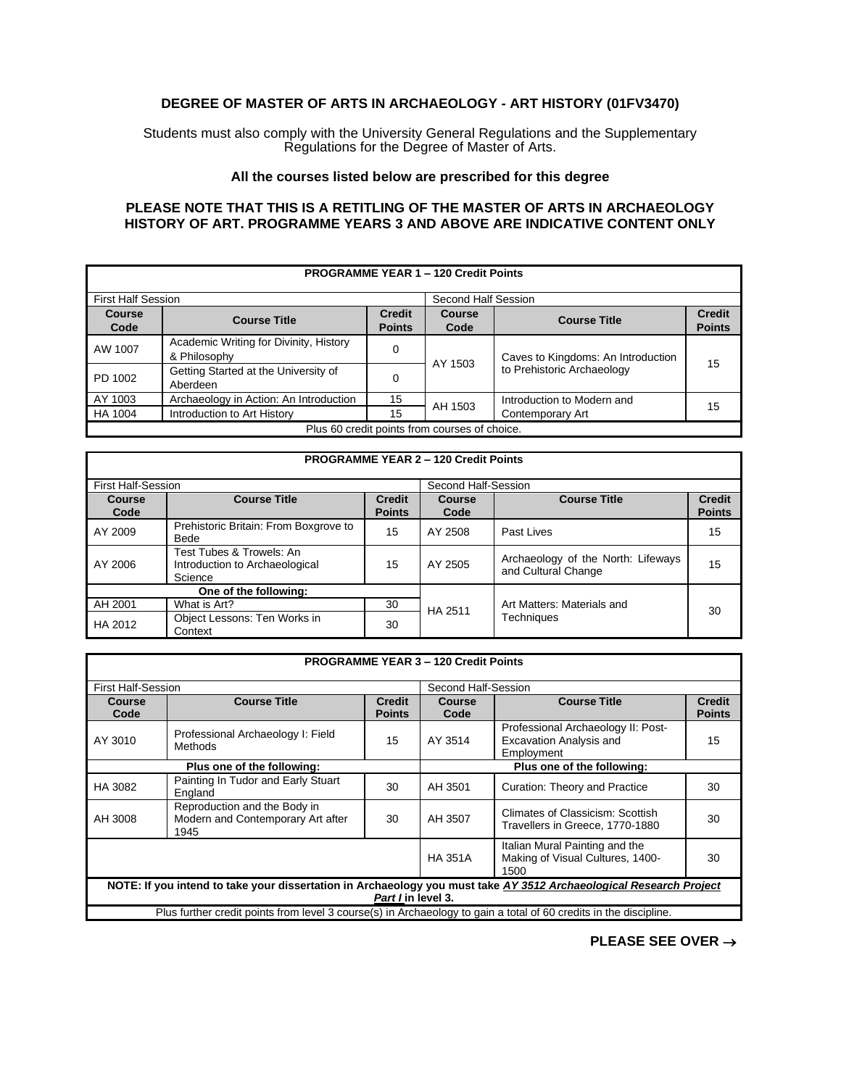## **DEGREE OF MASTER OF ARTS IN ARCHAEOLOGY - ART HISTORY (01FV3470)**

Students must also comply with the University General Regulations and the Supplementary Regulations for the Degree of Master of Arts.

## **All the courses listed below are prescribed for this degree**

## **PLEASE NOTE THAT THIS IS A RETITLING OF THE MASTER OF ARTS IN ARCHAEOLOGY HISTORY OF ART. PROGRAMME YEARS 3 AND ABOVE ARE INDICATIVE CONTENT ONLY**

| <b>PROGRAMME YEAR 1 - 120 Credit Points</b>   |                                                        |                                |                       |                                    |                                |
|-----------------------------------------------|--------------------------------------------------------|--------------------------------|-----------------------|------------------------------------|--------------------------------|
| <b>First Half Session</b>                     |                                                        |                                | Second Half Session   |                                    |                                |
| <b>Course</b><br>Code                         | <b>Course Title</b>                                    | <b>Credit</b><br><b>Points</b> | <b>Course</b><br>Code | <b>Course Title</b>                | <b>Credit</b><br><b>Points</b> |
| AW 1007                                       | Academic Writing for Divinity, History<br>& Philosophy | 0                              | AY 1503               | Caves to Kingdoms: An Introduction | 15                             |
| PD 1002                                       | Getting Started at the University of<br>Aberdeen       | 0                              |                       | to Prehistoric Archaeology         |                                |
| AY 1003                                       | Archaeology in Action: An Introduction                 | 15                             | AH 1503               | Introduction to Modern and         |                                |
| HA 1004                                       | Introduction to Art History                            | 15                             |                       | Contemporary Art                   | 15                             |
| Plus 60 credit points from courses of choice. |                                                        |                                |                       |                                    |                                |

| <b>PROGRAMME YEAR 2 - 120 Credit Points</b> |                                                                       |                                |                     |                                                           |                                |  |
|---------------------------------------------|-----------------------------------------------------------------------|--------------------------------|---------------------|-----------------------------------------------------------|--------------------------------|--|
| <b>First Half-Session</b>                   |                                                                       |                                | Second Half-Session |                                                           |                                |  |
| Course<br>Code                              | <b>Course Title</b>                                                   | <b>Credit</b><br><b>Points</b> | Course<br>Code      | <b>Course Title</b>                                       | <b>Credit</b><br><b>Points</b> |  |
| AY 2009                                     | Prehistoric Britain: From Boxgrove to<br>Bede                         | 15                             | AY 2508             | Past Lives                                                | 15                             |  |
| AY 2006                                     | Test Tubes & Trowels: An<br>Introduction to Archaeological<br>Science | 15                             | AY 2505             | Archaeology of the North: Lifeways<br>and Cultural Change | 15                             |  |
| One of the following:                       |                                                                       |                                |                     |                                                           |                                |  |
| AH 2001                                     | What is Art?                                                          | 30                             | HA 2511             | Art Matters: Materials and<br>Techniques                  | 30                             |  |
| HA 2012                                     | Object Lessons: Ten Works in<br>Context                               | 30                             |                     |                                                           |                                |  |

| <b>PROGRAMME YEAR 3 - 120 Credit Points</b>                                                                                              |                                                                           |                                |                            |                                                                                    |                                |
|------------------------------------------------------------------------------------------------------------------------------------------|---------------------------------------------------------------------------|--------------------------------|----------------------------|------------------------------------------------------------------------------------|--------------------------------|
| <b>First Half-Session</b>                                                                                                                |                                                                           |                                | Second Half-Session        |                                                                                    |                                |
| Course<br>Code                                                                                                                           | <b>Course Title</b>                                                       | <b>Credit</b><br><b>Points</b> | <b>Course</b><br>Code      | <b>Course Title</b>                                                                | <b>Credit</b><br><b>Points</b> |
| AY 3010                                                                                                                                  | Professional Archaeology I: Field<br>Methods                              | 15                             | AY 3514                    | Professional Archaeology II: Post-<br><b>Excavation Analysis and</b><br>Employment | 15                             |
| Plus one of the following:                                                                                                               |                                                                           |                                | Plus one of the following: |                                                                                    |                                |
| HA 3082                                                                                                                                  | Painting In Tudor and Early Stuart<br>England                             | 30                             | AH 3501                    | Curation: Theory and Practice                                                      | 30                             |
| AH 3008                                                                                                                                  | Reproduction and the Body in<br>Modern and Contemporary Art after<br>1945 | 30                             | AH 3507                    | Climates of Classicism: Scottish<br>Travellers in Greece, 1770-1880                | 30                             |
|                                                                                                                                          |                                                                           |                                | <b>HA 351A</b>             | Italian Mural Painting and the<br>Making of Visual Cultures, 1400-<br>1500         | 30                             |
| NOTE: If you intend to take your dissertation in Archaeology you must take AY 3512 Archaeological Research Project<br>Part I in level 3. |                                                                           |                                |                            |                                                                                    |                                |
| Plus further credit points from level 3 course(s) in Archaeology to gain a total of 60 credits in the discipline.                        |                                                                           |                                |                            |                                                                                    |                                |

**PLEASE SEE OVER** →